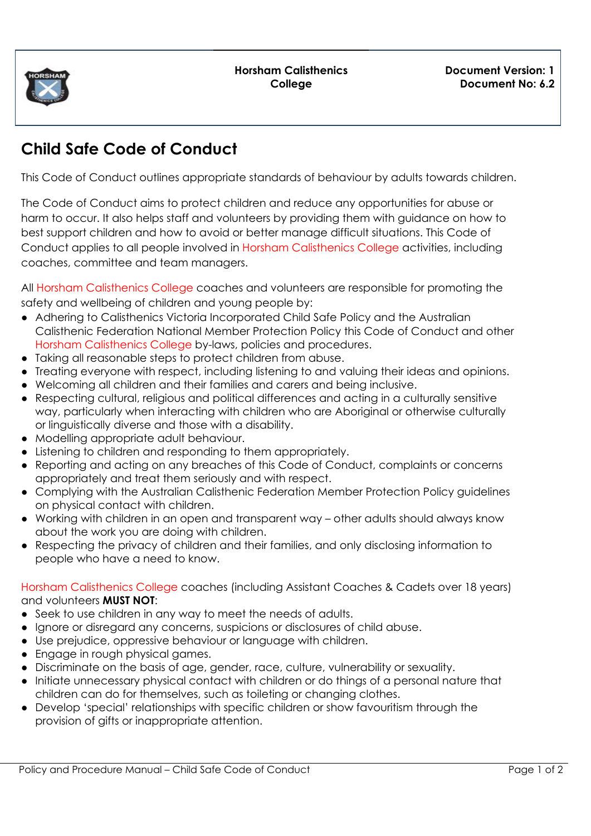

## **Child Safe Code of Conduct**

This Code of Conduct outlines appropriate standards of behaviour by adults towards children.

The Code of Conduct aims to protect children and reduce any opportunities for abuse or harm to occur. It also helps staff and volunteers by providing them with guidance on how to best support children and how to avoid or better manage difficult situations. This Code of Conduct applies to all people involved in Horsham Calisthenics College activities, including coaches, committee and team managers.

All Horsham Calisthenics College coaches and volunteers are responsible for promoting the safety and wellbeing of children and young people by:

- Adhering to Calisthenics Victoria Incorporated Child Safe Policy and the Australian Calisthenic Federation National Member Protection Policy this Code of Conduct and other Horsham Calisthenics College by-laws, policies and procedures.
- Taking all reasonable steps to protect children from abuse.
- Treating everyone with respect, including listening to and valuing their ideas and opinions.
- Welcoming all children and their families and carers and being inclusive.
- Respecting cultural, religious and political differences and acting in a culturally sensitive way, particularly when interacting with children who are Aboriginal or otherwise culturally or linguistically diverse and those with a disability.
- Modelling appropriate adult behaviour.
- Listening to children and responding to them appropriately.
- Reporting and acting on any breaches of this Code of Conduct, complaints or concerns appropriately and treat them seriously and with respect.
- Complying with the Australian Calisthenic Federation Member Protection Policy guidelines on physical contact with children.
- Working with children in an open and transparent way other adults should always know about the work you are doing with children.
- Respecting the privacy of children and their families, and only disclosing information to people who have a need to know.

Horsham Calisthenics College coaches (including Assistant Coaches & Cadets over 18 years) and volunteers **MUST NOT**:

- Seek to use children in any way to meet the needs of adults.
- Ignore or disregard any concerns, suspicions or disclosures of child abuse.
- Use prejudice, oppressive behaviour or language with children.
- Engage in rough physical games.
- Discriminate on the basis of age, gender, race, culture, vulnerability or sexuality.
- Initiate unnecessary physical contact with children or do things of a personal nature that children can do for themselves, such as toileting or changing clothes.
- Develop 'special' relationships with specific children or show favouritism through the provision of gifts or inappropriate attention.